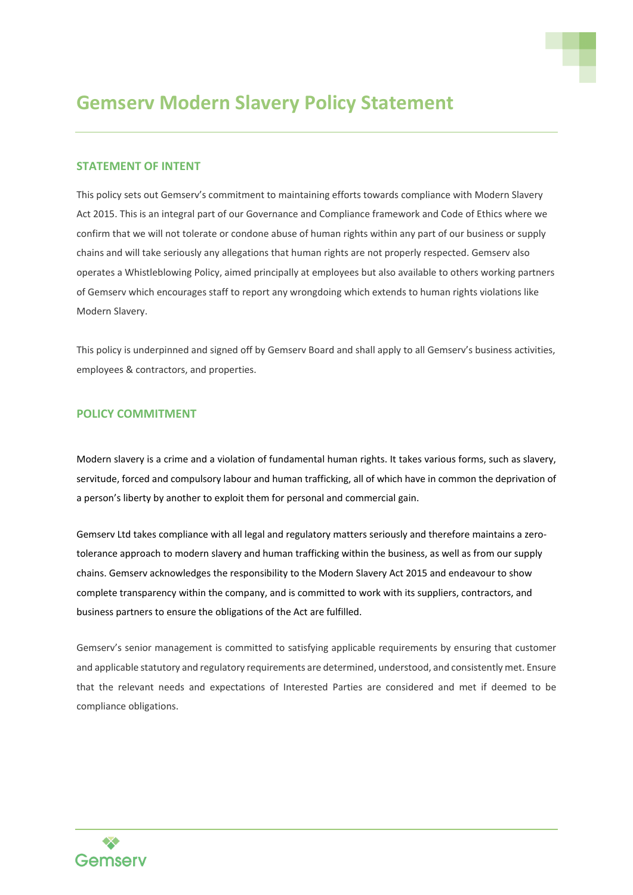

## **Gemserv Modern Slavery Policy Statement**

## **STATEMENT OF INTENT**

This policy sets out Gemserv's commitment to maintaining efforts towards compliance with Modern Slavery Act 2015. This is an integral part of our Governance and Compliance framework and Code of Ethics where we confirm that we will not tolerate or condone abuse of human rights within any part of our business or supply chains and will take seriously any allegations that human rights are not properly respected. Gemserv also operates a Whistleblowing Policy, aimed principally at employees but also available to others working partners of Gemserv which encourages staff to report any wrongdoing which extends to human rights violations like Modern Slavery.

This policy is underpinned and signed off by Gemserv Board and shall apply to all Gemserv's business activities, employees & contractors, and properties.

## **POLICY COMMITMENT**

Modern slavery is a crime and a violation of fundamental human rights. It takes various forms, such as slavery, servitude, forced and compulsory labour and human trafficking, all of which have in common the deprivation of a person's liberty by another to exploit them for personal and commercial gain.

Gemserv Ltd takes compliance with all legal and regulatory matters seriously and therefore maintains a zerotolerance approach to modern slavery and human trafficking within the business, as well as from our supply chains. Gemserv acknowledges the responsibility to the Modern Slavery Act 2015 and endeavour to show complete transparency within the company, and is committed to work with its suppliers, contractors, and business partners to ensure the obligations of the Act are fulfilled.

Gemserv's senior management is committed to satisfying applicable requirements by ensuring that customer and applicable statutory and regulatory requirements are determined, understood, and consistently met. Ensure that the relevant needs and expectations of Interested Parties are considered and met if deemed to be compliance obligations.